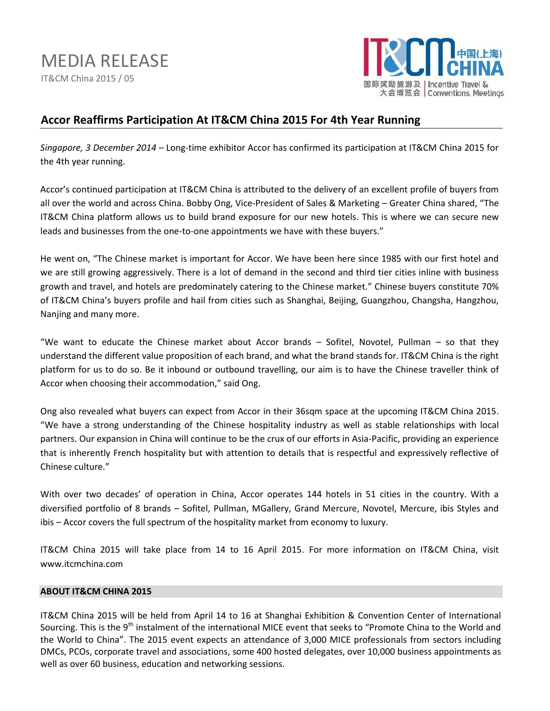MEDIA RELEASE IT&CM China 2015 / 05



# **Accor Reaffirms Participation At IT&CM China 2015 For 4th Year Running**

*Singapore, 3 December 2014* – Long-time exhibitor Accor has confirmed its participation at IT&CM China 2015 for the 4th year running.

Accor's continued participation at IT&CM China is attributed to the delivery of an excellent profile of buyers from all over the world and across China. Bobby Ong, Vice-President of Sales & Marketing – Greater China shared, "The IT&CM China platform allows us to build brand exposure for our new hotels. This is where we can secure new leads and businesses from the one-to-one appointments we have with these buyers."

He went on, "The Chinese market is important for Accor. We have been here since 1985 with our first hotel and we are still growing aggressively. There is a lot of demand in the second and third tier cities inline with business growth and travel, and hotels are predominately catering to the Chinese market." Chinese buyers constitute 70% of IT&CM China's buyers profile and hail from cities such as Shanghai, Beijing, Guangzhou, Changsha, Hangzhou, Nanjing and many more.

"We want to educate the Chinese market about Accor brands – Sofitel, Novotel, Pullman – so that they understand the different value proposition of each brand, and what the brand stands for. IT&CM China is the right platform for us to do so. Be it inbound or outbound travelling, our aim is to have the Chinese traveller think of Accor when choosing their accommodation," said Ong.

Ong also revealed what buyers can expect from Accor in their 36sqm space at the upcoming IT&CM China 2015. "We have a strong understanding of the Chinese hospitality industry as well as stable relationships with local partners. Our expansion in China will continue to be the crux of our efforts in Asia-Pacific, providing an experience that is inherently French hospitality but with attention to details that is respectful and expressively reflective of Chinese culture."

With over two decades' of operation in China, Accor operates 144 hotels in 51 cities in the country. With a diversified portfolio of 8 brands – Sofitel, Pullman, MGallery, Grand Mercure, Novotel, Mercure, ibis Styles and ibis – Accor covers the full spectrum of the hospitality market from economy to luxury.

IT&CM China 2015 will take place from 14 to 16 April 2015. For more information on IT&CM China, visit [www.itcmchina.com](http://www.itcmchina.com/)

# **ABOUT IT&CM CHINA 2015**

IT&CM China 2015 will be held from April 14 to 16 at Shanghai Exhibition & Convention Center of International Sourcing. This is the 9<sup>th</sup> instalment of the international MICE event that seeks to "Promote China to the World and the World to China". The 2015 event expects an attendance of 3,000 MICE professionals from sectors including DMCs, PCOs, corporate travel and associations, some 400 hosted delegates, over 10,000 business appointments as well as over 60 business, education and networking sessions.